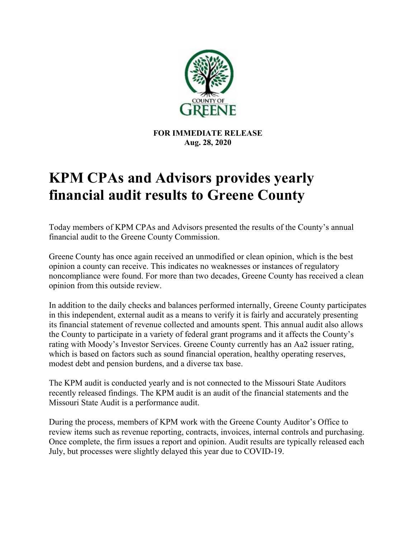

**FOR IMMEDIATE RELEASE Aug. 28, 2020**

## **KPM CPAs and Advisors provides yearly financial audit results to Greene County**

Today members of KPM CPAs and Advisors presented the results of the County's annual financial audit to the Greene County Commission.

Greene County has once again received an unmodified or clean opinion, which is the best opinion a county can receive. This indicates no weaknesses or instances of regulatory noncompliance were found. For more than two decades, Greene County has received a clean opinion from this outside review.

In addition to the daily checks and balances performed internally, Greene County participates in this independent, external audit as a means to verify it is fairly and accurately presenting its financial statement of revenue collected and amounts spent. This annual audit also allows the County to participate in a variety of federal grant programs and it affects the County's rating with Moody's Investor Services. Greene County currently has an Aa2 issuer rating, which is based on factors such as sound financial operation, healthy operating reserves, modest debt and pension burdens, and a diverse tax base.

The KPM audit is conducted yearly and is not connected to the Missouri State Auditors recently released findings. The KPM audit is an audit of the financial statements and the Missouri State Audit is a performance audit.

During the process, members of KPM work with the Greene County Auditor's Office to review items such as revenue reporting, contracts, invoices, internal controls and purchasing. Once complete, the firm issues a report and opinion. Audit results are typically released each July, but processes were slightly delayed this year due to COVID-19.